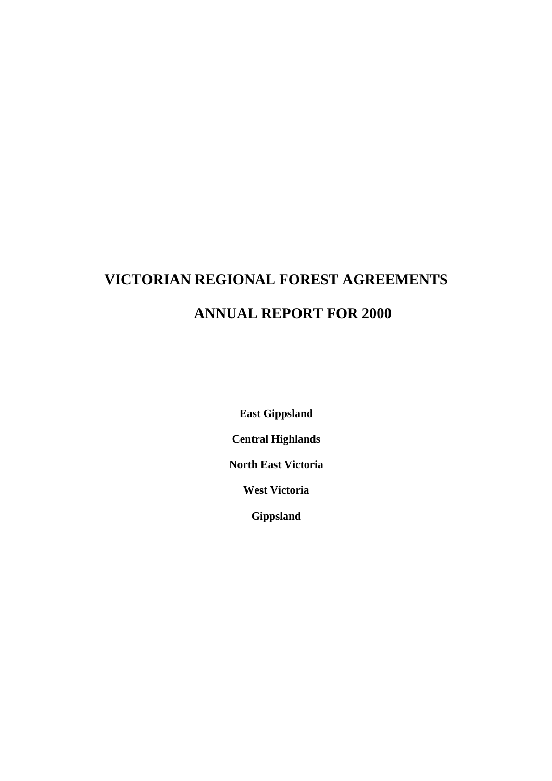# **VICTORIAN REGIONAL FOREST AGREEMENTS ANNUAL REPORT FOR 2000**

**East Gippsland**

**Central Highlands**

**North East Victoria**

**West Victoria**

**Gippsland**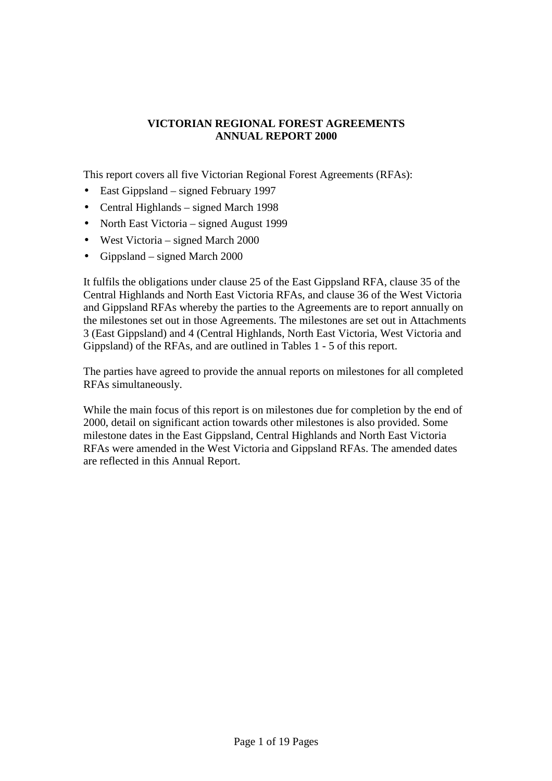#### **VICTORIAN REGIONAL FOREST AGREEMENTS ANNUAL REPORT 2000**

This report covers all five Victorian Regional Forest Agreements (RFAs):

- East Gippsland signed February 1997
- Central Highlands signed March 1998
- North East Victoria signed August 1999
- West Victoria signed March 2000
- Gippsland signed March 2000

It fulfils the obligations under clause 25 of the East Gippsland RFA, clause 35 of the Central Highlands and North East Victoria RFAs, and clause 36 of the West Victoria and Gippsland RFAs whereby the parties to the Agreements are to report annually on the milestones set out in those Agreements. The milestones are set out in Attachments 3 (East Gippsland) and 4 (Central Highlands, North East Victoria, West Victoria and Gippsland) of the RFAs, and are outlined in Tables 1 - 5 of this report.

The parties have agreed to provide the annual reports on milestones for all completed RFAs simultaneously.

While the main focus of this report is on milestones due for completion by the end of 2000, detail on significant action towards other milestones is also provided. Some milestone dates in the East Gippsland, Central Highlands and North East Victoria RFAs were amended in the West Victoria and Gippsland RFAs. The amended dates are reflected in this Annual Report.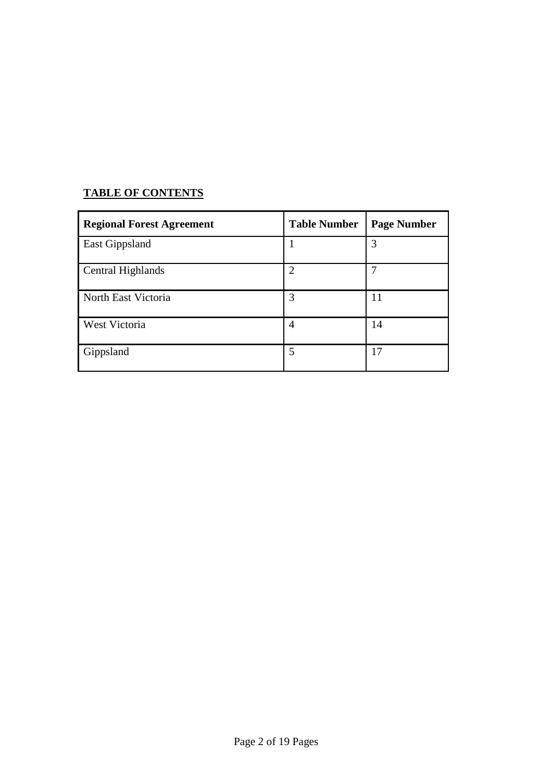## **TABLE OF CONTENTS**

| <b>Regional Forest Agreement</b> | <b>Table Number</b> | <b>Page Number</b> |
|----------------------------------|---------------------|--------------------|
| <b>East Gippsland</b>            |                     | 3                  |
| Central Highlands                | 2                   | 7                  |
| North East Victoria              | 3                   | 11                 |
| West Victoria                    | 4                   | 14                 |
| Gippsland                        | 5                   | 17                 |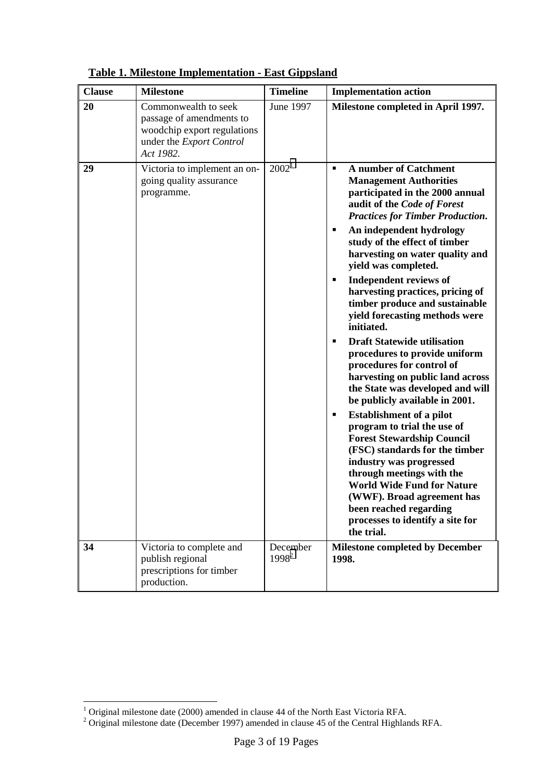| <b>Clause</b> | <b>Milestone</b>                                                                                                         | <b>Timeline</b>               | <b>Implementation action</b>                                                                                                                                                                                                                                                                                                                                                                                                                                                                                                                                                                                                                                                                                                                                                                                                                                                                                                                                                                                                                           |
|---------------|--------------------------------------------------------------------------------------------------------------------------|-------------------------------|--------------------------------------------------------------------------------------------------------------------------------------------------------------------------------------------------------------------------------------------------------------------------------------------------------------------------------------------------------------------------------------------------------------------------------------------------------------------------------------------------------------------------------------------------------------------------------------------------------------------------------------------------------------------------------------------------------------------------------------------------------------------------------------------------------------------------------------------------------------------------------------------------------------------------------------------------------------------------------------------------------------------------------------------------------|
| 20            | Commonwealth to seek<br>passage of amendments to<br>woodchip export regulations<br>under the Export Control<br>Act 1982. | June 1997                     | Milestone completed in April 1997.                                                                                                                                                                                                                                                                                                                                                                                                                                                                                                                                                                                                                                                                                                                                                                                                                                                                                                                                                                                                                     |
| 29            | Victoria to implement an on-<br>going quality assurance<br>programme.                                                    | $2002^1$                      | A number of Catchment<br>$\blacksquare$<br><b>Management Authorities</b><br>participated in the 2000 annual<br>audit of the Code of Forest<br><b>Practices for Timber Production.</b><br>An independent hydrology<br>٠<br>study of the effect of timber<br>harvesting on water quality and<br>yield was completed.<br><b>Independent reviews of</b><br>٠<br>harvesting practices, pricing of<br>timber produce and sustainable<br>yield forecasting methods were<br>initiated.<br><b>Draft Statewide utilisation</b><br>٠<br>procedures to provide uniform<br>procedures for control of<br>harvesting on public land across<br>the State was developed and will<br>be publicly available in 2001.<br><b>Establishment of a pilot</b><br>٠<br>program to trial the use of<br><b>Forest Stewardship Council</b><br>(FSC) standards for the timber<br>industry was progressed<br>through meetings with the<br><b>World Wide Fund for Nature</b><br>(WWF). Broad agreement has<br>been reached regarding<br>processes to identify a site for<br>the trial. |
| 34            | Victoria to complete and<br>publish regional<br>prescriptions for timber<br>production.                                  | December<br>1998 <sup>2</sup> | <b>Milestone completed by December</b><br>1998.                                                                                                                                                                                                                                                                                                                                                                                                                                                                                                                                                                                                                                                                                                                                                                                                                                                                                                                                                                                                        |

**Table 1. Milestone Implementation - East Gippsland**

<sup>&</sup>lt;sup>1</sup> Original milestone date (2000) amended in clause 44 of the North East Victoria RFA.<br><sup>2</sup> Original milestone date (December 1997) amended in clause 45 of the Central Highlands RFA.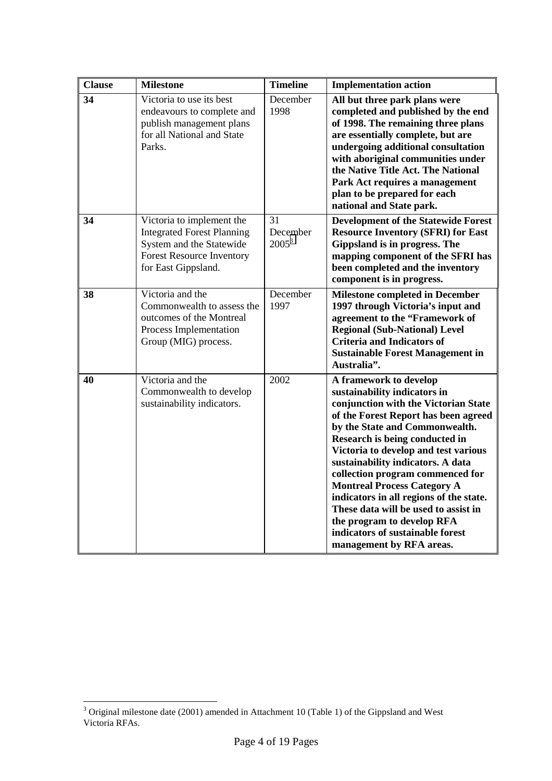| <b>Clause</b> | <b>Milestone</b>                                                                                                                                      | <b>Timeline</b>            | <b>Implementation action</b>                                                                                                                                                                                                                                                                                                                                                                                                                                                                                                                       |
|---------------|-------------------------------------------------------------------------------------------------------------------------------------------------------|----------------------------|----------------------------------------------------------------------------------------------------------------------------------------------------------------------------------------------------------------------------------------------------------------------------------------------------------------------------------------------------------------------------------------------------------------------------------------------------------------------------------------------------------------------------------------------------|
| 34            | Victoria to use its best<br>endeavours to complete and<br>publish management plans<br>for all National and State<br>Parks.                            | December<br>1998           | All but three park plans were<br>completed and published by the end<br>of 1998. The remaining three plans<br>are essentially complete, but are<br>undergoing additional consultation<br>with aboriginal communities under<br>the Native Title Act. The National<br>Park Act requires a management<br>plan to be prepared for each<br>national and State park.                                                                                                                                                                                      |
| 34            | Victoria to implement the<br><b>Integrated Forest Planning</b><br>System and the Statewide<br><b>Forest Resource Inventory</b><br>for East Gippsland. | 31<br>December<br>$2005^3$ | <b>Development of the Statewide Forest</b><br><b>Resource Inventory (SFRI) for East</b><br>Gippsland is in progress. The<br>mapping component of the SFRI has<br>been completed and the inventory<br>component is in progress.                                                                                                                                                                                                                                                                                                                     |
| 38            | Victoria and the<br>Commonwealth to assess the<br>outcomes of the Montreal<br>Process Implementation<br>Group (MIG) process.                          | December<br>1997           | <b>Milestone completed in December</b><br>1997 through Victoria's input and<br>agreement to the "Framework of<br><b>Regional (Sub-National) Level</b><br><b>Criteria and Indicators of</b><br><b>Sustainable Forest Management in</b><br>Australia".                                                                                                                                                                                                                                                                                               |
| 40            | Victoria and the<br>Commonwealth to develop<br>sustainability indicators.                                                                             | 2002                       | A framework to develop<br>sustainability indicators in<br>conjunction with the Victorian State<br>of the Forest Report has been agreed<br>by the State and Commonwealth.<br>Research is being conducted in<br>Victoria to develop and test various<br>sustainability indicators. A data<br>collection program commenced for<br><b>Montreal Process Category A</b><br>indicators in all regions of the state.<br>These data will be used to assist in<br>the program to develop RFA<br>indicators of sustainable forest<br>management by RFA areas. |

<sup>&</sup>lt;sup>3</sup> Original milestone date (2001) amended in Attachment 10 (Table 1) of the Gippsland and West Victoria RFAs.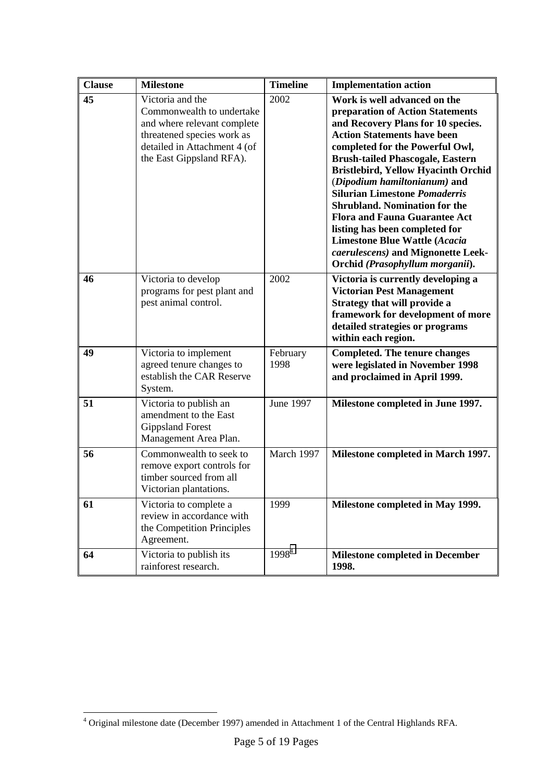| <b>Clause</b> | <b>Milestone</b>                                                                                                                                                       | <b>Timeline</b>  | <b>Implementation action</b>                                                                                                                                                                                                                                                                                                                                                                                                                                                                                                                                                 |
|---------------|------------------------------------------------------------------------------------------------------------------------------------------------------------------------|------------------|------------------------------------------------------------------------------------------------------------------------------------------------------------------------------------------------------------------------------------------------------------------------------------------------------------------------------------------------------------------------------------------------------------------------------------------------------------------------------------------------------------------------------------------------------------------------------|
| 45            | Victoria and the<br>Commonwealth to undertake<br>and where relevant complete<br>threatened species work as<br>detailed in Attachment 4 (of<br>the East Gippsland RFA). | 2002             | Work is well advanced on the<br>preparation of Action Statements<br>and Recovery Plans for 10 species.<br><b>Action Statements have been</b><br>completed for the Powerful Owl,<br><b>Brush-tailed Phascogale, Eastern</b><br>Bristlebird, Yellow Hyacinth Orchid<br>(Dipodium hamiltonianum) and<br><b>Silurian Limestone Pomaderris</b><br><b>Shrubland. Nomination for the</b><br><b>Flora and Fauna Guarantee Act</b><br>listing has been completed for<br><b>Limestone Blue Wattle (Acacia</b><br>caerulescens) and Mignonette Leek-<br>Orchid (Prasophyllum morganii). |
| 46            | Victoria to develop<br>programs for pest plant and<br>pest animal control.                                                                                             | 2002             | Victoria is currently developing a<br><b>Victorian Pest Management</b><br>Strategy that will provide a<br>framework for development of more<br>detailed strategies or programs<br>within each region.                                                                                                                                                                                                                                                                                                                                                                        |
| 49            | Victoria to implement<br>agreed tenure changes to<br>establish the CAR Reserve<br>System.                                                                              | February<br>1998 | <b>Completed. The tenure changes</b><br>were legislated in November 1998<br>and proclaimed in April 1999.                                                                                                                                                                                                                                                                                                                                                                                                                                                                    |
| 51            | Victoria to publish an<br>amendment to the East<br><b>Gippsland Forest</b><br>Management Area Plan.                                                                    | June 1997        | Milestone completed in June 1997.                                                                                                                                                                                                                                                                                                                                                                                                                                                                                                                                            |
| 56            | Commonwealth to seek to<br>remove export controls for<br>timber sourced from all<br>Victorian plantations                                                              | March 1997       | Milestone completed in March 1997.                                                                                                                                                                                                                                                                                                                                                                                                                                                                                                                                           |
| 61            | Victoria to complete a<br>review in accordance with<br>the Competition Principles<br>Agreement.                                                                        | 1999             | Milestone completed in May 1999.                                                                                                                                                                                                                                                                                                                                                                                                                                                                                                                                             |
| 64            | Victoria to publish its<br>rainforest research.                                                                                                                        | $1998^{4}$       | <b>Milestone completed in December</b><br>1998.                                                                                                                                                                                                                                                                                                                                                                                                                                                                                                                              |

 4 Original milestone date (December 1997) amended in Attachment 1 of the Central Highlands RFA.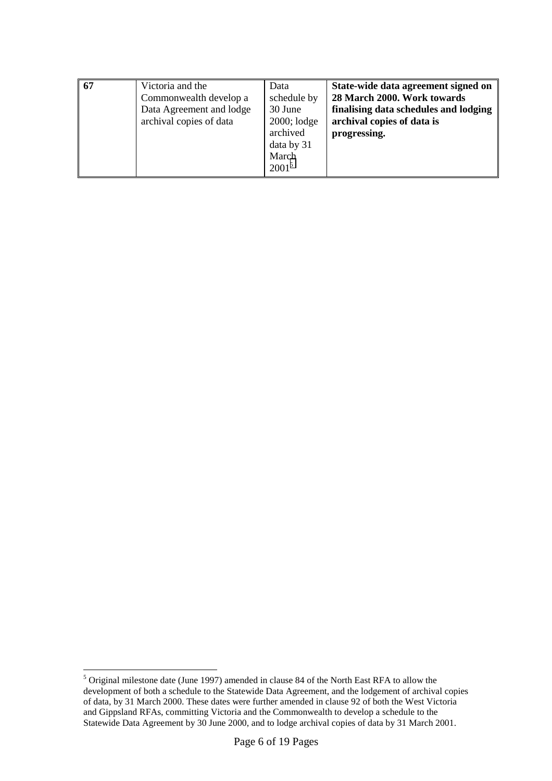| 67 | Victoria and the<br>Commonwealth develop a<br>Data Agreement and lodge<br>archival copies of data | Data<br>schedule by<br>30 June<br>$2000;$ lodge<br>archived<br>data by 31<br>March<br>$2001^5$ | State-wide data agreement signed on<br>28 March 2000. Work towards<br>finalising data schedules and lodging<br>archival copies of data is<br>progressing. |
|----|---------------------------------------------------------------------------------------------------|------------------------------------------------------------------------------------------------|-----------------------------------------------------------------------------------------------------------------------------------------------------------|
|----|---------------------------------------------------------------------------------------------------|------------------------------------------------------------------------------------------------|-----------------------------------------------------------------------------------------------------------------------------------------------------------|

 5 Original milestone date (June 1997) amended in clause 84 of the North East RFA to allow the development of both a schedule to the Statewide Data Agreement, and the lodgement of archival copies of data, by 31 March 2000. These dates were further amended in clause 92 of both the West Victoria and Gippsland RFAs, committing Victoria and the Commonwealth to develop a schedule to the Statewide Data Agreement by 30 June 2000, and to lodge archival copies of data by 31 March 2001.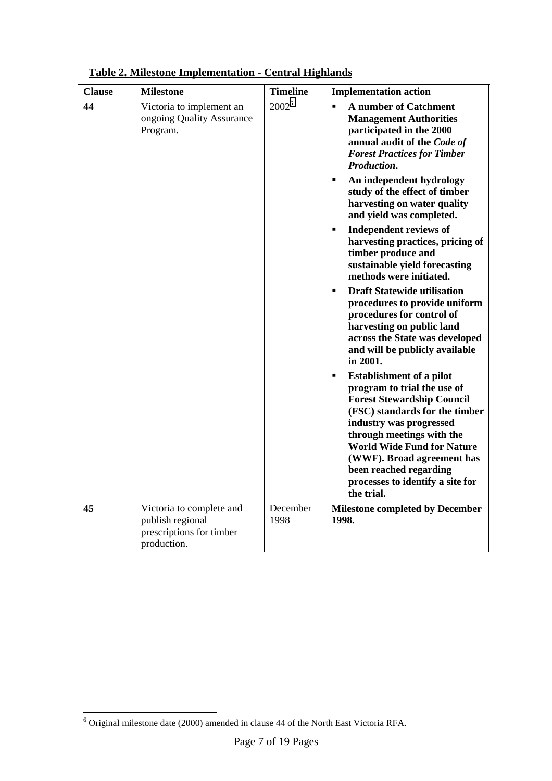| <b>Clause</b> | <b>Milestone</b>                                                                        | <b>Timeline</b>  | <b>Implementation action</b>                                                                                                                                                                                                                                                                                                                                                                                                                                                                                                                                                                                                                                                                                                                                                                                                                                                                                                                                                                                                                                   |
|---------------|-----------------------------------------------------------------------------------------|------------------|----------------------------------------------------------------------------------------------------------------------------------------------------------------------------------------------------------------------------------------------------------------------------------------------------------------------------------------------------------------------------------------------------------------------------------------------------------------------------------------------------------------------------------------------------------------------------------------------------------------------------------------------------------------------------------------------------------------------------------------------------------------------------------------------------------------------------------------------------------------------------------------------------------------------------------------------------------------------------------------------------------------------------------------------------------------|
| 44            | Victoria to implement an<br>ongoing Quality Assurance<br>Program.                       | $2002^6$         | <b>A</b> number of Catchment<br><b>Management Authorities</b><br>participated in the 2000<br>annual audit of the Code of<br><b>Forest Practices for Timber</b><br>Production.<br>An independent hydrology<br>٠<br>study of the effect of timber<br>harvesting on water quality<br>and yield was completed.<br><b>Independent reviews of</b><br>$\blacksquare$<br>harvesting practices, pricing of<br>timber produce and<br>sustainable yield forecasting<br>methods were initiated.<br><b>Draft Statewide utilisation</b><br>п<br>procedures to provide uniform<br>procedures for control of<br>harvesting on public land<br>across the State was developed<br>and will be publicly available<br>in 2001.<br><b>Establishment of a pilot</b><br>٠<br>program to trial the use of<br><b>Forest Stewardship Council</b><br>(FSC) standards for the timber<br>industry was progressed<br>through meetings with the<br><b>World Wide Fund for Nature</b><br>(WWF). Broad agreement has<br>been reached regarding<br>processes to identify a site for<br>the trial. |
| 45            | Victoria to complete and<br>publish regional<br>prescriptions for timber<br>production. | December<br>1998 | <b>Milestone completed by December</b><br>1998.                                                                                                                                                                                                                                                                                                                                                                                                                                                                                                                                                                                                                                                                                                                                                                                                                                                                                                                                                                                                                |

### **Table 2. Milestone Implementation - Central Highlands**

 6 Original milestone date (2000) amended in clause 44 of the North East Victoria RFA.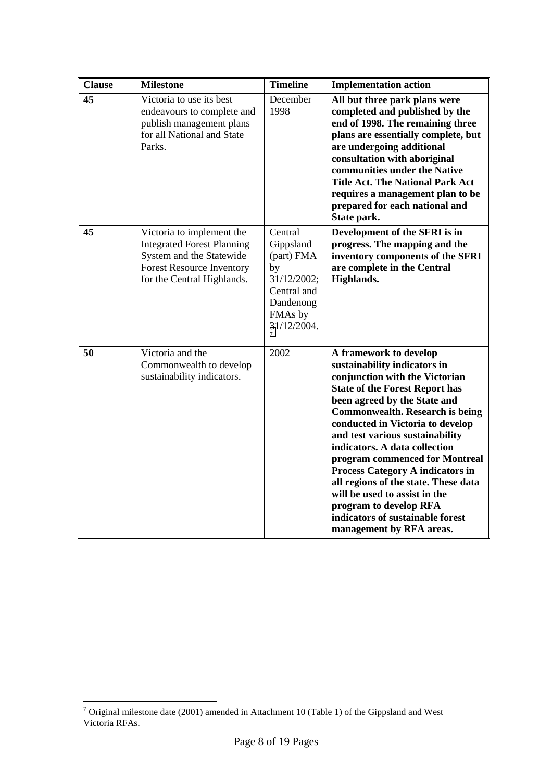| <b>Clause</b> | <b>Milestone</b>                                                                                                                                             | <b>Timeline</b>                                                                                                    | <b>Implementation action</b>                                                                                                                                                                                                                                                                                                                                                                                                                                                                                                                                        |
|---------------|--------------------------------------------------------------------------------------------------------------------------------------------------------------|--------------------------------------------------------------------------------------------------------------------|---------------------------------------------------------------------------------------------------------------------------------------------------------------------------------------------------------------------------------------------------------------------------------------------------------------------------------------------------------------------------------------------------------------------------------------------------------------------------------------------------------------------------------------------------------------------|
| 45            | Victoria to use its best<br>endeavours to complete and<br>publish management plans<br>for all National and State<br>Parks.                                   | December<br>1998                                                                                                   | All but three park plans were<br>completed and published by the<br>end of 1998. The remaining three<br>plans are essentially complete, but<br>are undergoing additional<br>consultation with aboriginal<br>communities under the Native<br><b>Title Act. The National Park Act</b><br>requires a management plan to be<br>prepared for each national and<br>State park.                                                                                                                                                                                             |
| 45            | Victoria to implement the<br><b>Integrated Forest Planning</b><br>System and the Statewide<br><b>Forest Resource Inventory</b><br>for the Central Highlands. | Central<br>Gippsland<br>(part) FMA<br>by<br>31/12/2002;<br>Central and<br>Dandenong<br>FMAs by<br>31/12/2004.<br>7 | Development of the SFRI is in<br>progress. The mapping and the<br>inventory components of the SFRI<br>are complete in the Central<br>Highlands.                                                                                                                                                                                                                                                                                                                                                                                                                     |
| 50            | Victoria and the<br>Commonwealth to develop<br>sustainability indicators.                                                                                    | 2002                                                                                                               | A framework to develop<br>sustainability indicators in<br>conjunction with the Victorian<br><b>State of the Forest Report has</b><br>been agreed by the State and<br><b>Commonwealth. Research is being</b><br>conducted in Victoria to develop<br>and test various sustainability<br>indicators. A data collection<br>program commenced for Montreal<br><b>Process Category A indicators in</b><br>all regions of the state. These data<br>will be used to assist in the<br>program to develop RFA<br>indicators of sustainable forest<br>management by RFA areas. |

<sup>&</sup>lt;sup>7</sup> Original milestone date (2001) amended in Attachment 10 (Table 1) of the Gippsland and West Victoria RFAs.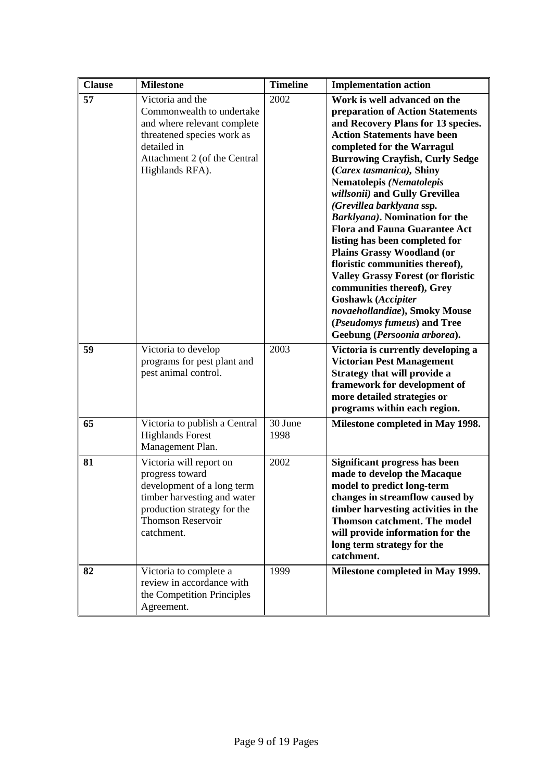| <b>Clause</b> | <b>Milestone</b>                                                                                                                                                                 | <b>Timeline</b> | <b>Implementation action</b>                                                                                                                                                                                                                                                                                                                                                                                                                                                                                                                                                                                                                                                                                                                    |
|---------------|----------------------------------------------------------------------------------------------------------------------------------------------------------------------------------|-----------------|-------------------------------------------------------------------------------------------------------------------------------------------------------------------------------------------------------------------------------------------------------------------------------------------------------------------------------------------------------------------------------------------------------------------------------------------------------------------------------------------------------------------------------------------------------------------------------------------------------------------------------------------------------------------------------------------------------------------------------------------------|
| 57            | Victoria and the<br>Commonwealth to undertake<br>and where relevant complete<br>threatened species work as<br>detailed in<br>Attachment 2 (of the Central<br>Highlands RFA).     | 2002            | Work is well advanced on the<br>preparation of Action Statements<br>and Recovery Plans for 13 species.<br><b>Action Statements have been</b><br>completed for the Warragul<br><b>Burrowing Crayfish, Curly Sedge</b><br>(Carex tasmanica), Shiny<br>Nematolepis (Nematolepis<br>willsonii) and Gully Grevillea<br>(Grevillea barklyana ssp.<br><b>Barklyana</b> ). Nomination for the<br><b>Flora and Fauna Guarantee Act</b><br>listing has been completed for<br><b>Plains Grassy Woodland (or</b><br>floristic communities thereof),<br><b>Valley Grassy Forest (or floristic</b><br>communities thereof), Grey<br><b>Goshawk</b> (Accipiter<br>novaehollandiae), Smoky Mouse<br>(Pseudomys fumeus) and Tree<br>Geebung (Persoonia arborea). |
| 59            | Victoria to develop<br>programs for pest plant and<br>pest animal control.                                                                                                       | 2003            | Victoria is currently developing a<br><b>Victorian Pest Management</b><br>Strategy that will provide a<br>framework for development of<br>more detailed strategies or<br>programs within each region.                                                                                                                                                                                                                                                                                                                                                                                                                                                                                                                                           |
| 65            | Victoria to publish a Central<br><b>Highlands Forest</b><br>Management Plan.                                                                                                     | 30 June<br>1998 | Milestone completed in May 1998.                                                                                                                                                                                                                                                                                                                                                                                                                                                                                                                                                                                                                                                                                                                |
| 81            | Victoria will report on<br>progress toward<br>development of a long term<br>timber harvesting and water<br>production strategy for the<br><b>Thomson Reservoir</b><br>catchment. | 2002            | Significant progress has been<br>made to develop the Macaque<br>model to predict long-term<br>changes in streamflow caused by<br>timber harvesting activities in the<br><b>Thomson catchment. The model</b><br>will provide information for the<br>long term strategy for the<br>catchment.                                                                                                                                                                                                                                                                                                                                                                                                                                                     |
| 82            | Victoria to complete a<br>review in accordance with<br>the Competition Principles<br>Agreement.                                                                                  | 1999            | Milestone completed in May 1999.                                                                                                                                                                                                                                                                                                                                                                                                                                                                                                                                                                                                                                                                                                                |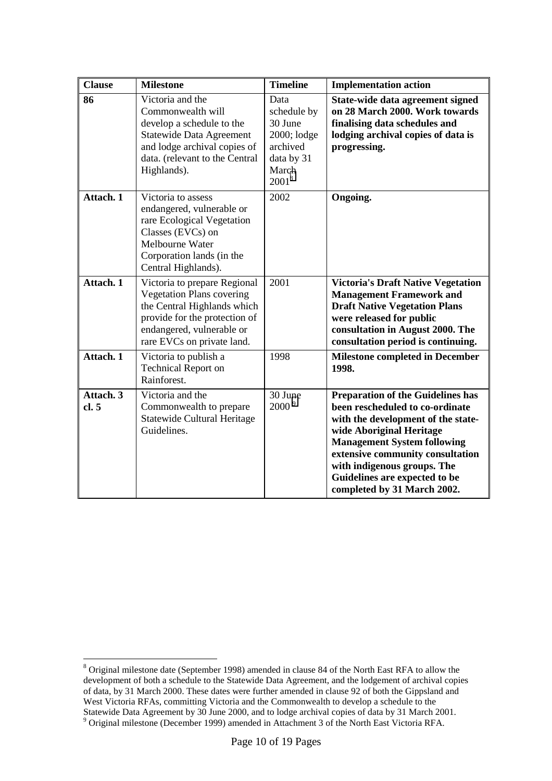| <b>Clause</b>      | <b>Milestone</b>                                                                                                                                                                            | <b>Timeline</b>                                                                              | <b>Implementation action</b>                                                                                                                                                                                                                                                                                           |
|--------------------|---------------------------------------------------------------------------------------------------------------------------------------------------------------------------------------------|----------------------------------------------------------------------------------------------|------------------------------------------------------------------------------------------------------------------------------------------------------------------------------------------------------------------------------------------------------------------------------------------------------------------------|
| 86                 | Victoria and the<br>Commonwealth will<br>develop a schedule to the<br><b>Statewide Data Agreement</b><br>and lodge archival copies of<br>data. (relevant to the Central<br>Highlands).      | Data<br>schedule by<br>30 June<br>2000; lodge<br>archived<br>data by 31<br>March<br>$2001^8$ | State-wide data agreement signed<br>on 28 March 2000. Work towards<br>finalising data schedules and<br>lodging archival copies of data is<br>progressing.                                                                                                                                                              |
| Attach. 1          | Victoria to assess<br>endangered, vulnerable or<br>rare Ecological Vegetation<br>Classes (EVCs) on<br>Melbourne Water<br>Corporation lands (in the<br>Central Highlands).                   | 2002                                                                                         | Ongoing.                                                                                                                                                                                                                                                                                                               |
| Attach. 1          | Victoria to prepare Regional<br><b>Vegetation Plans covering</b><br>the Central Highlands which<br>provide for the protection of<br>endangered, vulnerable or<br>rare EVCs on private land. | 2001                                                                                         | <b>Victoria's Draft Native Vegetation</b><br><b>Management Framework and</b><br><b>Draft Native Vegetation Plans</b><br>were released for public<br>consultation in August 2000. The<br>consultation period is continuing.                                                                                             |
| Attach. 1          | Victoria to publish a<br><b>Technical Report on</b><br>Rainforest.                                                                                                                          | 1998                                                                                         | <b>Milestone completed in December</b><br>1998.                                                                                                                                                                                                                                                                        |
| Attach. 3<br>cl. 5 | Victoria and the<br>Commonwealth to prepare<br><b>Statewide Cultural Heritage</b><br>Guidelines.                                                                                            | 30 June<br>2000 <sup>9</sup>                                                                 | <b>Preparation of the Guidelines has</b><br>been rescheduled to co-ordinate<br>with the development of the state-<br>wide Aboriginal Heritage<br><b>Management System following</b><br>extensive community consultation<br>with indigenous groups. The<br>Guidelines are expected to be<br>completed by 31 March 2002. |

<sup>&</sup>lt;sup>8</sup> Original milestone date (September 1998) amended in clause 84 of the North East RFA to allow the development of both a schedule to the Statewide Data Agreement, and the lodgement of archival copies of data, by 31 March 2000. These dates were further amended in clause 92 of both the Gippsland and West Victoria RFAs, committing Victoria and the Commonwealth to develop a schedule to the Statewide Data Agreement by 30 June 2000, and to lodge archival copies of data by 31 March 2001.<br><sup>9</sup> Original milestone (December 1999) amended in Attachment 3 of the North East Victoria RFA.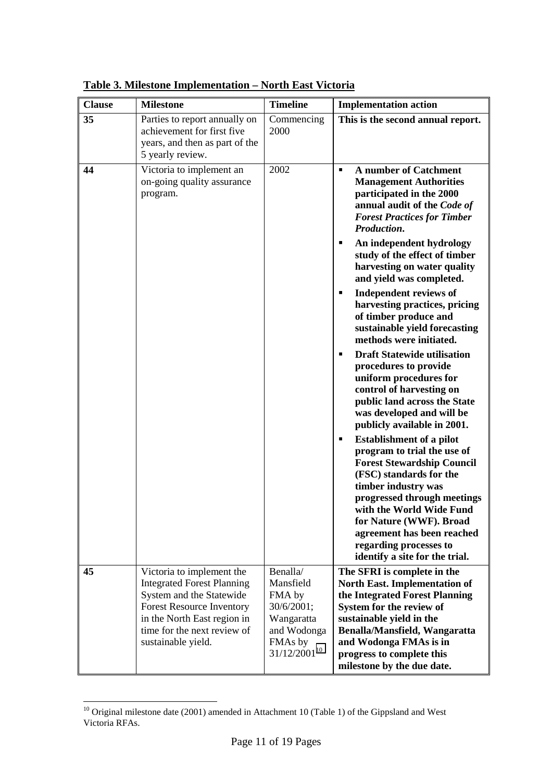| <b>Clause</b> | <b>Milestone</b>                                                                                                                                                                                                   | <b>Timeline</b>                                                                                            | <b>Implementation action</b>                                                                                                                                                                                                                                                                                                                                                                                                                                                                                                                                                                                                                                                                                                                                                                                                                                                                                                                                                                                                                                              |
|---------------|--------------------------------------------------------------------------------------------------------------------------------------------------------------------------------------------------------------------|------------------------------------------------------------------------------------------------------------|---------------------------------------------------------------------------------------------------------------------------------------------------------------------------------------------------------------------------------------------------------------------------------------------------------------------------------------------------------------------------------------------------------------------------------------------------------------------------------------------------------------------------------------------------------------------------------------------------------------------------------------------------------------------------------------------------------------------------------------------------------------------------------------------------------------------------------------------------------------------------------------------------------------------------------------------------------------------------------------------------------------------------------------------------------------------------|
| 35            | Parties to report annually on<br>achievement for first five<br>years, and then as part of the<br>5 yearly review.                                                                                                  | Commencing<br>2000                                                                                         | This is the second annual report.                                                                                                                                                                                                                                                                                                                                                                                                                                                                                                                                                                                                                                                                                                                                                                                                                                                                                                                                                                                                                                         |
| 44            | Victoria to implement an<br>on-going quality assurance<br>program.                                                                                                                                                 | 2002                                                                                                       | <b>A</b> number of Catchment<br>٠<br><b>Management Authorities</b><br>participated in the 2000<br>annual audit of the Code of<br><b>Forest Practices for Timber</b><br>Production.<br>An independent hydrology<br>٠<br>study of the effect of timber<br>harvesting on water quality<br>and yield was completed.<br><b>Independent reviews of</b><br>٠<br>harvesting practices, pricing<br>of timber produce and<br>sustainable yield forecasting<br>methods were initiated.<br><b>Draft Statewide utilisation</b><br>$\blacksquare$<br>procedures to provide<br>uniform procedures for<br>control of harvesting on<br>public land across the State<br>was developed and will be<br>publicly available in 2001.<br><b>Establishment of a pilot</b><br>$\blacksquare$<br>program to trial the use of<br><b>Forest Stewardship Council</b><br>(FSC) standards for the<br>timber industry was<br>progressed through meetings<br>with the World Wide Fund<br>for Nature (WWF). Broad<br>agreement has been reached<br>regarding processes to<br>identify a site for the trial. |
| 45            | Victoria to implement the<br><b>Integrated Forest Planning</b><br>System and the Statewide<br><b>Forest Resource Inventory</b><br>in the North East region in<br>time for the next review of<br>sustainable yield. | Benalla/<br>Mansfield<br>FMA by<br>30/6/2001;<br>Wangaratta<br>and Wodonga<br>FMAs by<br>$31/12/2001^{10}$ | The SFRI is complete in the<br><b>North East. Implementation of</b><br>the Integrated Forest Planning<br>System for the review of<br>sustainable yield in the<br>Benalla/Mansfield, Wangaratta<br>and Wodonga FMAs is in<br>progress to complete this<br>milestone by the due date.                                                                                                                                                                                                                                                                                                                                                                                                                                                                                                                                                                                                                                                                                                                                                                                       |

**Table 3. Milestone Implementation – North East Victoria**

 $\overline{a}$ 

 $10$  Original milestone date (2001) amended in Attachment 10 (Table 1) of the Gippsland and West Victoria RFAs.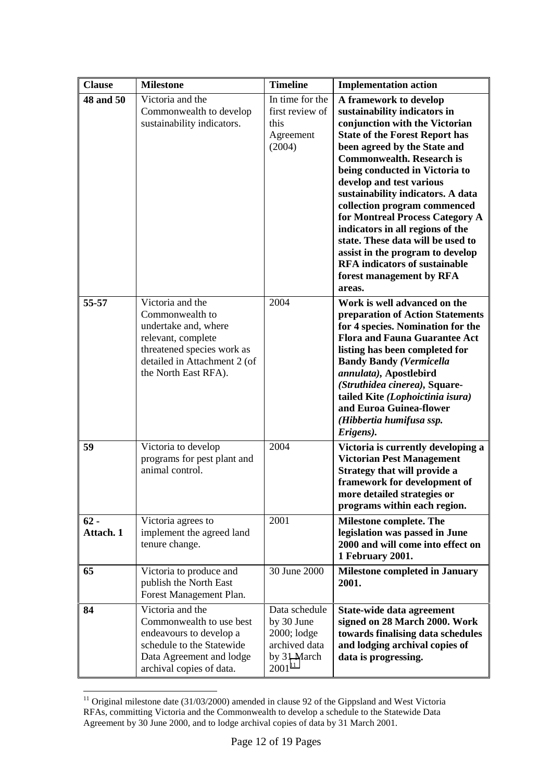| <b>Clause</b>       | <b>Milestone</b>                                                                                                                                                        | <b>Timeline</b>                                                                           | <b>Implementation action</b>                                                                                                                                                                                                                                                                                                                                                                                                                                                                                                                                           |
|---------------------|-------------------------------------------------------------------------------------------------------------------------------------------------------------------------|-------------------------------------------------------------------------------------------|------------------------------------------------------------------------------------------------------------------------------------------------------------------------------------------------------------------------------------------------------------------------------------------------------------------------------------------------------------------------------------------------------------------------------------------------------------------------------------------------------------------------------------------------------------------------|
| 48 and 50           | Victoria and the<br>Commonwealth to develop<br>sustainability indicators.                                                                                               | In time for the<br>first review of<br>this<br>Agreement<br>(2004)                         | A framework to develop<br>sustainability indicators in<br>conjunction with the Victorian<br><b>State of the Forest Report has</b><br>been agreed by the State and<br><b>Commonwealth. Research is</b><br>being conducted in Victoria to<br>develop and test various<br>sustainability indicators. A data<br>collection program commenced<br>for Montreal Process Category A<br>indicators in all regions of the<br>state. These data will be used to<br>assist in the program to develop<br><b>RFA</b> indicators of sustainable<br>forest management by RFA<br>areas. |
| 55-57               | Victoria and the<br>Commonwealth to<br>undertake and, where<br>relevant, complete<br>threatened species work as<br>detailed in Attachment 2 (of<br>the North East RFA). | 2004                                                                                      | Work is well advanced on the<br>preparation of Action Statements<br>for 4 species. Nomination for the<br><b>Flora and Fauna Guarantee Act</b><br>listing has been completed for<br><b>Bandy Bandy (Vermicella</b><br>annulata), Apostlebird<br>(Struthidea cinerea), Square-<br>tailed Kite (Lophoictinia isura)<br>and Euroa Guinea-flower<br>(Hibbertia humifusa ssp.<br>Erigens).                                                                                                                                                                                   |
| 59                  | Victoria to develop<br>programs for pest plant and<br>animal control.                                                                                                   | 2004                                                                                      | Victoria is currently developing a<br><b>Victorian Pest Management</b><br>Strategy that will provide a<br>framework for development of<br>more detailed strategies or<br>programs within each region.                                                                                                                                                                                                                                                                                                                                                                  |
| $62 -$<br>Attach. 1 | Victoria agrees to<br>implement the agreed land<br>tenure change.                                                                                                       | 2001                                                                                      | <b>Milestone complete. The</b><br>legislation was passed in June<br>2000 and will come into effect on<br>1 February 2001.                                                                                                                                                                                                                                                                                                                                                                                                                                              |
| 65                  | Victoria to produce and<br>publish the North East<br>Forest Management Plan.                                                                                            | 30 June 2000                                                                              | <b>Milestone completed in January</b><br>2001.                                                                                                                                                                                                                                                                                                                                                                                                                                                                                                                         |
| 84                  | Victoria and the<br>Commonwealth to use best<br>endeavours to develop a<br>schedule to the Statewide<br>Data Agreement and lodge<br>archival copies of data.            | Data schedule<br>by 30 June<br>2000; lodge<br>archived data<br>by 31 March<br>$2001^{11}$ | State-wide data agreement<br>signed on 28 March 2000. Work<br>towards finalising data schedules<br>and lodging archival copies of<br>data is progressing.                                                                                                                                                                                                                                                                                                                                                                                                              |

 $\overline{a}$  $11$  Original milestone date (31/03/2000) amended in clause 92 of the Gippsland and West Victoria RFAs, committing Victoria and the Commonwealth to develop a schedule to the Statewide Data Agreement by 30 June 2000, and to lodge archival copies of data by 31 March 2001.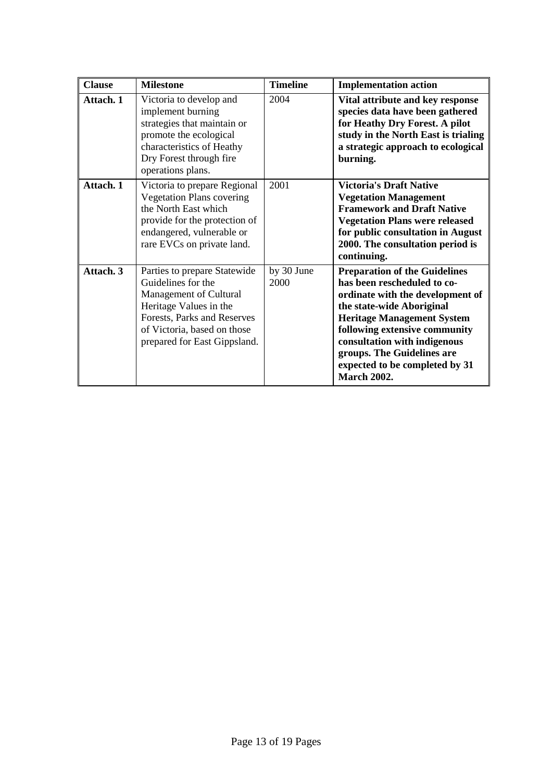| <b>Clause</b> | <b>Milestone</b>                                                                                                                                                                                     | <b>Timeline</b>    | <b>Implementation action</b>                                                                                                                                                                                                                                                                                                     |
|---------------|------------------------------------------------------------------------------------------------------------------------------------------------------------------------------------------------------|--------------------|----------------------------------------------------------------------------------------------------------------------------------------------------------------------------------------------------------------------------------------------------------------------------------------------------------------------------------|
| Attach. 1     | Victoria to develop and<br>implement burning<br>strategies that maintain or<br>promote the ecological<br>characteristics of Heathy<br>Dry Forest through fire<br>operations plans.                   | 2004               | Vital attribute and key response<br>species data have been gathered<br>for Heathy Dry Forest. A pilot<br>study in the North East is trialing<br>a strategic approach to ecological<br>burning.                                                                                                                                   |
| Attach. 1     | Victoria to prepare Regional<br><b>Vegetation Plans covering</b><br>the North East which<br>provide for the protection of<br>endangered, vulnerable or<br>rare EVCs on private land.                 | 2001               | <b>Victoria's Draft Native</b><br><b>Vegetation Management</b><br><b>Framework and Draft Native</b><br><b>Vegetation Plans were released</b><br>for public consultation in August<br>2000. The consultation period is<br>continuing.                                                                                             |
| Attach. 3     | Parties to prepare Statewide<br>Guidelines for the<br>Management of Cultural<br>Heritage Values in the<br>Forests, Parks and Reserves<br>of Victoria, based on those<br>prepared for East Gippsland. | by 30 June<br>2000 | <b>Preparation of the Guidelines</b><br>has been rescheduled to co-<br>ordinate with the development of<br>the state-wide Aboriginal<br><b>Heritage Management System</b><br>following extensive community<br>consultation with indigenous<br>groups. The Guidelines are<br>expected to be completed by 31<br><b>March 2002.</b> |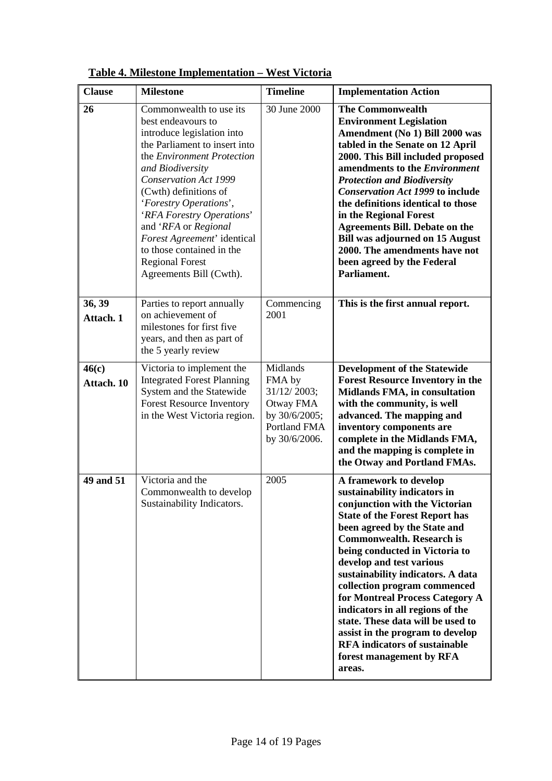| <b>Clause</b>       | <b>Milestone</b>                                                                                                                                                                                                                                                                                                                                                                                                        | <b>Timeline</b>                                                                                  | <b>Implementation Action</b>                                                                                                                                                                                                                                                                                                                                                                                                                                                                                                                                           |
|---------------------|-------------------------------------------------------------------------------------------------------------------------------------------------------------------------------------------------------------------------------------------------------------------------------------------------------------------------------------------------------------------------------------------------------------------------|--------------------------------------------------------------------------------------------------|------------------------------------------------------------------------------------------------------------------------------------------------------------------------------------------------------------------------------------------------------------------------------------------------------------------------------------------------------------------------------------------------------------------------------------------------------------------------------------------------------------------------------------------------------------------------|
| 26                  | Commonwealth to use its<br>best endeavours to<br>introduce legislation into<br>the Parliament to insert into<br>the Environment Protection<br>and Biodiversity<br><b>Conservation Act 1999</b><br>(Cwth) definitions of<br>'Forestry Operations',<br>'RFA Forestry Operations'<br>and 'RFA or Regional<br>Forest Agreement' identical<br>to those contained in the<br><b>Regional Forest</b><br>Agreements Bill (Cwth). | 30 June 2000                                                                                     | <b>The Commonwealth</b><br><b>Environment Legislation</b><br>Amendment (No 1) Bill 2000 was<br>tabled in the Senate on 12 April<br>2000. This Bill included proposed<br>amendments to the <i>Environment</i><br><b>Protection and Biodiversity</b><br><b>Conservation Act 1999 to include</b><br>the definitions identical to those<br>in the Regional Forest<br><b>Agreements Bill. Debate on the</b><br><b>Bill was adjourned on 15 August</b><br>2000. The amendments have not<br>been agreed by the Federal<br>Parliament.                                         |
| 36, 39<br>Attach. 1 | Parties to report annually<br>on achievement of<br>milestones for first five<br>years, and then as part of<br>the 5 yearly review                                                                                                                                                                                                                                                                                       | Commencing<br>2001                                                                               | This is the first annual report.                                                                                                                                                                                                                                                                                                                                                                                                                                                                                                                                       |
| 46(c)<br>Attach. 10 | Victoria to implement the<br><b>Integrated Forest Planning</b><br>System and the Statewide<br><b>Forest Resource Inventory</b><br>in the West Victoria region.                                                                                                                                                                                                                                                          | Midlands<br>FMA by<br>31/12/2003;<br>Otway FMA<br>by 30/6/2005;<br>Portland FMA<br>by 30/6/2006. | <b>Development of the Statewide</b><br><b>Forest Resource Inventory in the</b><br>Midlands FMA, in consultation<br>with the community, is well<br>advanced. The mapping and<br>inventory components are<br>complete in the Midlands FMA,<br>and the mapping is complete in<br>the Otway and Portland FMAs.                                                                                                                                                                                                                                                             |
| 49 and 51           | Victoria and the<br>Commonwealth to develop<br>Sustainability Indicators.                                                                                                                                                                                                                                                                                                                                               | 2005                                                                                             | A framework to develop<br>sustainability indicators in<br>conjunction with the Victorian<br><b>State of the Forest Report has</b><br>been agreed by the State and<br><b>Commonwealth. Research is</b><br>being conducted in Victoria to<br>develop and test various<br>sustainability indicators. A data<br>collection program commenced<br>for Montreal Process Category A<br>indicators in all regions of the<br>state. These data will be used to<br>assist in the program to develop<br><b>RFA</b> indicators of sustainable<br>forest management by RFA<br>areas. |

## **Table 4. Milestone Implementation – West Victoria**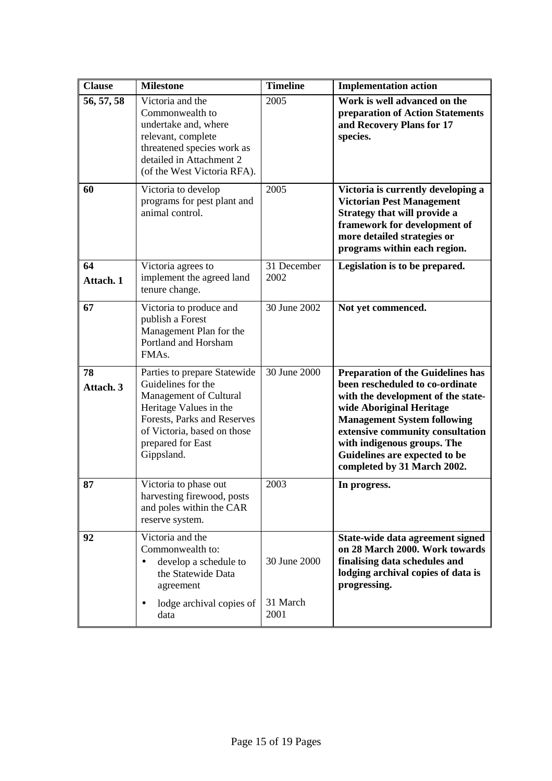| <b>Clause</b>   | <b>Milestone</b>                                                                                                                                                                                               | <b>Timeline</b>     | <b>Implementation action</b>                                                                                                                                                                                                                                                                                           |
|-----------------|----------------------------------------------------------------------------------------------------------------------------------------------------------------------------------------------------------------|---------------------|------------------------------------------------------------------------------------------------------------------------------------------------------------------------------------------------------------------------------------------------------------------------------------------------------------------------|
| 56, 57, 58      | Victoria and the<br>Commonwealth to<br>undertake and, where<br>relevant, complete<br>threatened species work as<br>detailed in Attachment 2<br>(of the West Victoria RFA).                                     | 2005                | Work is well advanced on the<br>preparation of Action Statements<br>and Recovery Plans for 17<br>species.                                                                                                                                                                                                              |
| 60              | Victoria to develop<br>programs for pest plant and<br>animal control.                                                                                                                                          | 2005                | Victoria is currently developing a<br><b>Victorian Pest Management</b><br>Strategy that will provide a<br>framework for development of<br>more detailed strategies or<br>programs within each region.                                                                                                                  |
| 64<br>Attach. 1 | Victoria agrees to<br>implement the agreed land<br>tenure change.                                                                                                                                              | 31 December<br>2002 | Legislation is to be prepared.                                                                                                                                                                                                                                                                                         |
| 67              | Victoria to produce and<br>publish a Forest<br>Management Plan for the<br>Portland and Horsham<br>FMAs.                                                                                                        | 30 June 2002        | Not yet commenced.                                                                                                                                                                                                                                                                                                     |
| 78<br>Attach. 3 | Parties to prepare Statewide<br>Guidelines for the<br><b>Management of Cultural</b><br>Heritage Values in the<br>Forests, Parks and Reserves<br>of Victoria, based on those<br>prepared for East<br>Gippsland. | 30 June 2000        | <b>Preparation of the Guidelines has</b><br>been rescheduled to co-ordinate<br>with the development of the state-<br>wide Aboriginal Heritage<br><b>Management System following</b><br>extensive community consultation<br>with indigenous groups. The<br>Guidelines are expected to be<br>completed by 31 March 2002. |
| 87              | Victoria to phase out<br>harvesting firewood, posts<br>and poles within the CAR<br>reserve system.                                                                                                             | 2003                | In progress.                                                                                                                                                                                                                                                                                                           |
| 92              | Victoria and the<br>Commonwealth to:<br>develop a schedule to<br>the Statewide Data<br>agreement                                                                                                               | 30 June 2000        | State-wide data agreement signed<br>on 28 March 2000. Work towards<br>finalising data schedules and<br>lodging archival copies of data is<br>progressing.                                                                                                                                                              |
|                 | lodge archival copies of<br>٠<br>data                                                                                                                                                                          | 31 March<br>2001    |                                                                                                                                                                                                                                                                                                                        |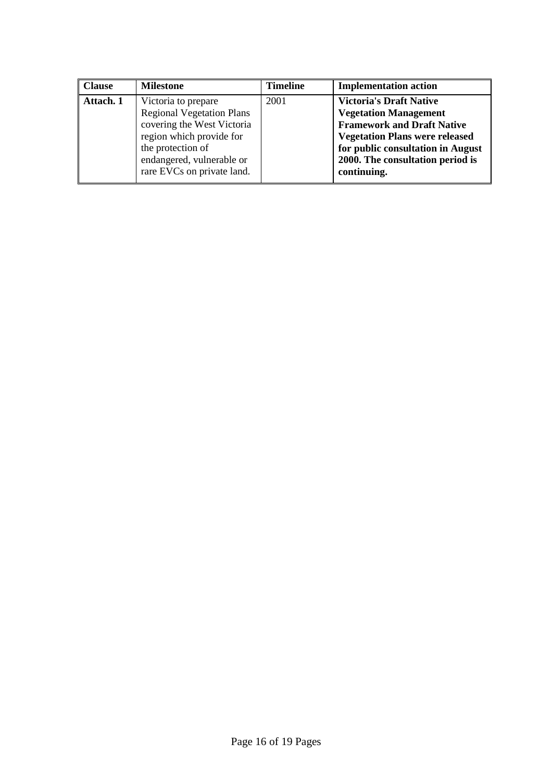| Clause    | <b>Milestone</b>                 | <b>Timeline</b> | <b>Implementation action</b>          |
|-----------|----------------------------------|-----------------|---------------------------------------|
| Attach. 1 | Victoria to prepare              | 2001            | <b>Victoria's Draft Native</b>        |
|           | <b>Regional Vegetation Plans</b> |                 | <b>Vegetation Management</b>          |
|           | covering the West Victoria       |                 | <b>Framework and Draft Native</b>     |
|           | region which provide for         |                 | <b>Vegetation Plans were released</b> |
|           | the protection of                |                 | for public consultation in August     |
|           | endangered, vulnerable or        |                 | 2000. The consultation period is      |
|           | rare EVCs on private land.       |                 | continuing.                           |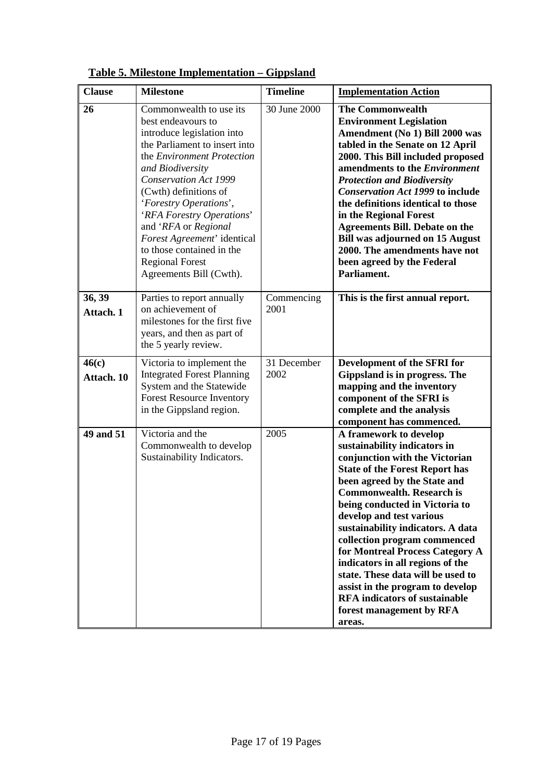| <b>Clause</b>       | <b>Milestone</b>                                                                                                                                                                                                                                                                                                                                                                                                        | <b>Timeline</b>     | <b>Implementation Action</b>                                                                                                                                                                                                                                                                                                                                                                                                                                                                                                                                           |
|---------------------|-------------------------------------------------------------------------------------------------------------------------------------------------------------------------------------------------------------------------------------------------------------------------------------------------------------------------------------------------------------------------------------------------------------------------|---------------------|------------------------------------------------------------------------------------------------------------------------------------------------------------------------------------------------------------------------------------------------------------------------------------------------------------------------------------------------------------------------------------------------------------------------------------------------------------------------------------------------------------------------------------------------------------------------|
| 26                  | Commonwealth to use its<br>best endeavours to<br>introduce legislation into<br>the Parliament to insert into<br>the Environment Protection<br>and Biodiversity<br><b>Conservation Act 1999</b><br>(Cwth) definitions of<br>'Forestry Operations',<br>'RFA Forestry Operations'<br>and 'RFA or Regional<br>Forest Agreement' identical<br>to those contained in the<br><b>Regional Forest</b><br>Agreements Bill (Cwth). | 30 June 2000        | <b>The Commonwealth</b><br><b>Environment Legislation</b><br>Amendment (No 1) Bill 2000 was<br>tabled in the Senate on 12 April<br>2000. This Bill included proposed<br>amendments to the <i>Environment</i><br><b>Protection and Biodiversity</b><br><b>Conservation Act 1999 to include</b><br>the definitions identical to those<br>in the Regional Forest<br><b>Agreements Bill. Debate on the</b><br><b>Bill was adjourned on 15 August</b><br>2000. The amendments have not<br>been agreed by the Federal<br>Parliament.                                         |
| 36, 39<br>Attach. 1 | Parties to report annually<br>on achievement of<br>milestones for the first five<br>years, and then as part of<br>the 5 yearly review.                                                                                                                                                                                                                                                                                  | Commencing<br>2001  | This is the first annual report.                                                                                                                                                                                                                                                                                                                                                                                                                                                                                                                                       |
| 46(c)<br>Attach. 10 | Victoria to implement the<br><b>Integrated Forest Planning</b><br>System and the Statewide<br><b>Forest Resource Inventory</b><br>in the Gippsland region.                                                                                                                                                                                                                                                              | 31 December<br>2002 | Development of the SFRI for<br>Gippsland is in progress. The<br>mapping and the inventory<br>component of the SFRI is<br>complete and the analysis<br>component has commenced.                                                                                                                                                                                                                                                                                                                                                                                         |
| 49 and 51           | Victoria and the<br>Commonwealth to develop<br>Sustainability Indicators.                                                                                                                                                                                                                                                                                                                                               | 2005                | A framework to develop<br>sustainability indicators in<br>conjunction with the Victorian<br><b>State of the Forest Report has</b><br>been agreed by the State and<br><b>Commonwealth. Research is</b><br>being conducted in Victoria to<br>develop and test various<br>sustainability indicators. A data<br>collection program commenced<br>for Montreal Process Category A<br>indicators in all regions of the<br>state. These data will be used to<br>assist in the program to develop<br><b>RFA</b> indicators of sustainable<br>forest management by RFA<br>areas. |

## **Table 5. Milestone Implementation – Gippsland**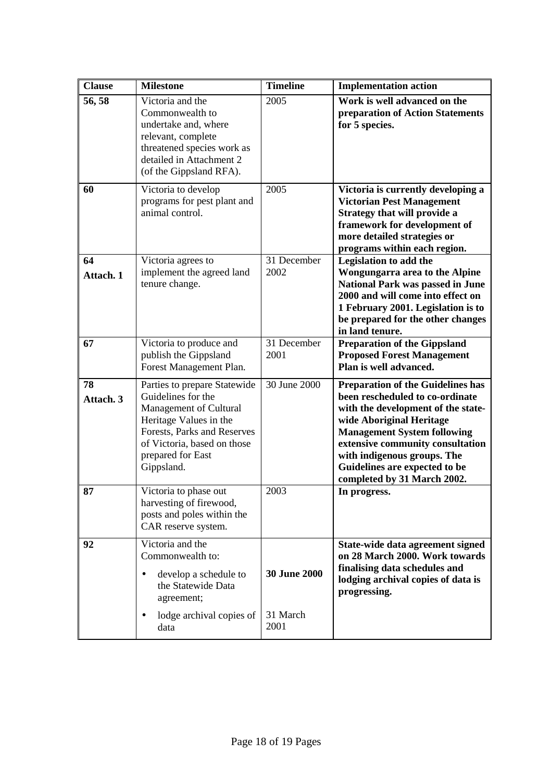| <b>Clause</b>   | <b>Milestone</b>                                                                                                                                                                                        | <b>Timeline</b>                         | <b>Implementation action</b>                                                                                                                                                                                                                                                                                           |
|-----------------|---------------------------------------------------------------------------------------------------------------------------------------------------------------------------------------------------------|-----------------------------------------|------------------------------------------------------------------------------------------------------------------------------------------------------------------------------------------------------------------------------------------------------------------------------------------------------------------------|
| 56, 58          | Victoria and the<br>Commonwealth to<br>undertake and, where<br>relevant, complete<br>threatened species work as<br>detailed in Attachment 2<br>(of the Gippsland RFA).                                  | 2005                                    | Work is well advanced on the<br>preparation of Action Statements<br>for 5 species.                                                                                                                                                                                                                                     |
| 60              | Victoria to develop<br>programs for pest plant and<br>animal control.                                                                                                                                   | 2005                                    | Victoria is currently developing a<br><b>Victorian Pest Management</b><br>Strategy that will provide a<br>framework for development of<br>more detailed strategies or<br>programs within each region.                                                                                                                  |
| 64<br>Attach. 1 | Victoria agrees to<br>implement the agreed land<br>tenure change.                                                                                                                                       | 31 December<br>2002                     | Legislation to add the<br>Wongungarra area to the Alpine<br><b>National Park was passed in June</b><br>2000 and will come into effect on<br>1 February 2001. Legislation is to<br>be prepared for the other changes<br>in land tenure.                                                                                 |
| 67              | Victoria to produce and<br>publish the Gippsland<br>Forest Management Plan.                                                                                                                             | 31 December<br>2001                     | <b>Preparation of the Gippsland</b><br><b>Proposed Forest Management</b><br>Plan is well advanced.                                                                                                                                                                                                                     |
| 78<br>Attach. 3 | Parties to prepare Statewide<br>Guidelines for the<br>Management of Cultural<br>Heritage Values in the<br>Forests, Parks and Reserves<br>of Victoria, based on those<br>prepared for East<br>Gippsland. | 30 June 2000                            | <b>Preparation of the Guidelines has</b><br>been rescheduled to co-ordinate<br>with the development of the state-<br>wide Aboriginal Heritage<br><b>Management System following</b><br>extensive community consultation<br>with indigenous groups. The<br>Guidelines are expected to be<br>completed by 31 March 2002. |
| 87              | Victoria to phase out<br>harvesting of firewood,<br>posts and poles within the<br>CAR reserve system.                                                                                                   | 2003                                    | In progress.                                                                                                                                                                                                                                                                                                           |
| 92              | Victoria and the<br>Commonwealth to:<br>develop a schedule to<br>٠<br>the Statewide Data<br>agreement;<br>lodge archival copies of<br>data                                                              | <b>30 June 2000</b><br>31 March<br>2001 | State-wide data agreement signed<br>on 28 March 2000. Work towards<br>finalising data schedules and<br>lodging archival copies of data is<br>progressing.                                                                                                                                                              |